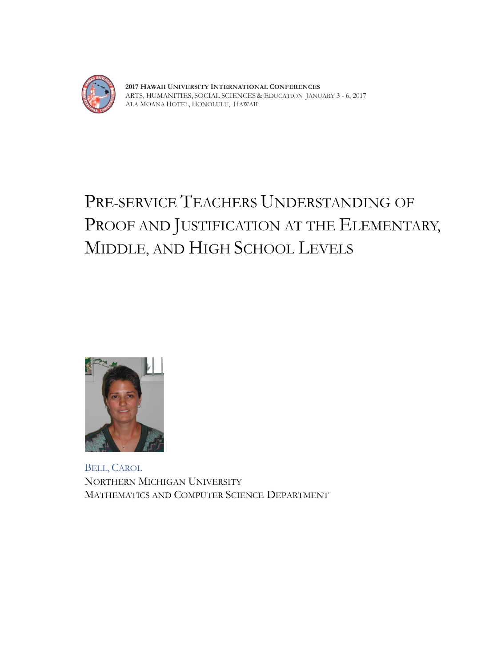

**2017 HAWAII UNIVERSITY INTERNATIONAL CONFERENCES**  ARTS, HUMANITIES, SOCIAL SCIENCES & EDUCATION JANUARY 3 - 6, 2017 ALA MOANA HOTEL, HONOLULU, HAWAII

# PRE-SERVICE TEACHERS UNDERSTANDING OF PROOF AND JUSTIFICATION AT THE ELEMENTARY, MIDDLE, AND HIGH SCHOOL LEVELS



BELL, CAROL NORTHERN MICHIGAN UNIVERSITY MATHEMATICS AND COMPUTER SCIENCE DEPARTMENT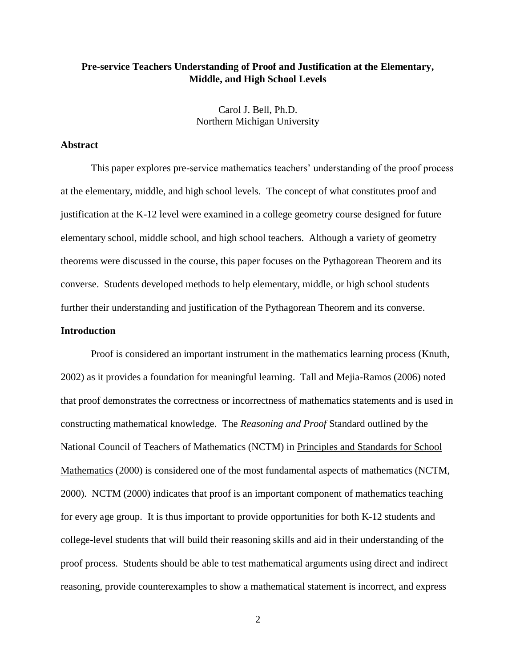# **Pre-service Teachers Understanding of Proof and Justification at the Elementary, Middle, and High School Levels**

Carol J. Bell, Ph.D. Northern Michigan University

# **Abstract**

This paper explores pre-service mathematics teachers' understanding of the proof process at the elementary, middle, and high school levels. The concept of what constitutes proof and justification at the K-12 level were examined in a college geometry course designed for future elementary school, middle school, and high school teachers. Although a variety of geometry theorems were discussed in the course, this paper focuses on the Pythagorean Theorem and its converse. Students developed methods to help elementary, middle, or high school students further their understanding and justification of the Pythagorean Theorem and its converse.

# **Introduction**

Proof is considered an important instrument in the mathematics learning process (Knuth, 2002) as it provides a foundation for meaningful learning. Tall and Mejia-Ramos (2006) noted that proof demonstrates the correctness or incorrectness of mathematics statements and is used in constructing mathematical knowledge. The *Reasoning and Proof* Standard outlined by the National Council of Teachers of Mathematics (NCTM) in Principles and Standards for School Mathematics (2000) is considered one of the most fundamental aspects of mathematics (NCTM, 2000). NCTM (2000) indicates that proof is an important component of mathematics teaching for every age group. It is thus important to provide opportunities for both K-12 students and college-level students that will build their reasoning skills and aid in their understanding of the proof process. Students should be able to test mathematical arguments using direct and indirect reasoning, provide counterexamples to show a mathematical statement is incorrect, and express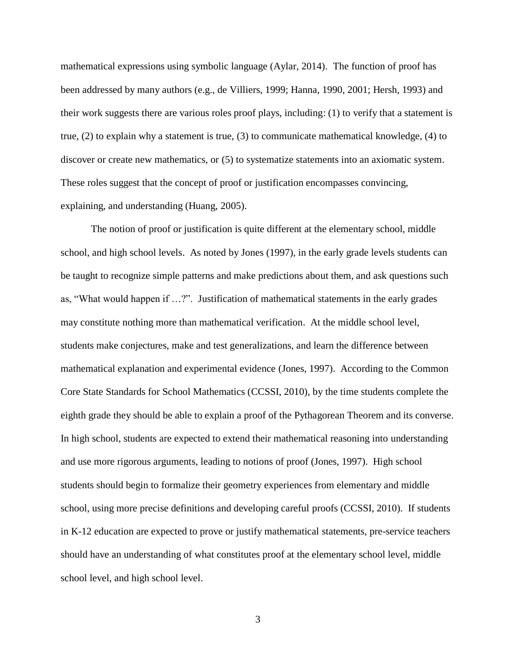mathematical expressions using symbolic language (Aylar, 2014). The function of proof has been addressed by many authors (e.g., de Villiers, 1999; Hanna, 1990, 2001; Hersh, 1993) and their work suggests there are various roles proof plays, including: (1) to verify that a statement is true, (2) to explain why a statement is true, (3) to communicate mathematical knowledge, (4) to discover or create new mathematics, or (5) to systematize statements into an axiomatic system. These roles suggest that the concept of proof or justification encompasses convincing, explaining, and understanding (Huang, 2005).

The notion of proof or justification is quite different at the elementary school, middle school, and high school levels. As noted by Jones (1997), in the early grade levels students can be taught to recognize simple patterns and make predictions about them, and ask questions such as, "What would happen if …?". Justification of mathematical statements in the early grades may constitute nothing more than mathematical verification. At the middle school level, students make conjectures, make and test generalizations, and learn the difference between mathematical explanation and experimental evidence (Jones, 1997). According to the Common Core State Standards for School Mathematics (CCSSI, 2010), by the time students complete the eighth grade they should be able to explain a proof of the Pythagorean Theorem and its converse. In high school, students are expected to extend their mathematical reasoning into understanding and use more rigorous arguments, leading to notions of proof (Jones, 1997). High school students should begin to formalize their geometry experiences from elementary and middle school, using more precise definitions and developing careful proofs (CCSSI, 2010). If students in K-12 education are expected to prove or justify mathematical statements, pre-service teachers should have an understanding of what constitutes proof at the elementary school level, middle school level, and high school level.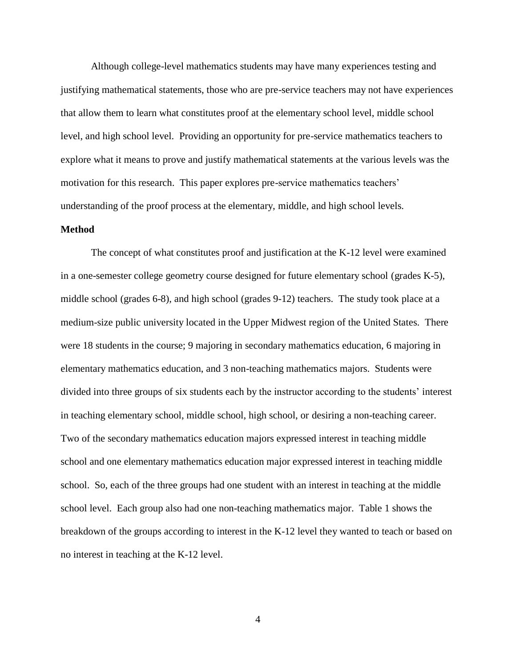Although college-level mathematics students may have many experiences testing and justifying mathematical statements, those who are pre-service teachers may not have experiences that allow them to learn what constitutes proof at the elementary school level, middle school level, and high school level. Providing an opportunity for pre-service mathematics teachers to explore what it means to prove and justify mathematical statements at the various levels was the motivation for this research. This paper explores pre-service mathematics teachers' understanding of the proof process at the elementary, middle, and high school levels.

#### **Method**

The concept of what constitutes proof and justification at the K-12 level were examined in a one-semester college geometry course designed for future elementary school (grades K-5), middle school (grades 6-8), and high school (grades 9-12) teachers. The study took place at a medium-size public university located in the Upper Midwest region of the United States. There were 18 students in the course; 9 majoring in secondary mathematics education, 6 majoring in elementary mathematics education, and 3 non-teaching mathematics majors. Students were divided into three groups of six students each by the instructor according to the students' interest in teaching elementary school, middle school, high school, or desiring a non-teaching career. Two of the secondary mathematics education majors expressed interest in teaching middle school and one elementary mathematics education major expressed interest in teaching middle school. So, each of the three groups had one student with an interest in teaching at the middle school level. Each group also had one non-teaching mathematics major. Table 1 shows the breakdown of the groups according to interest in the K-12 level they wanted to teach or based on no interest in teaching at the K-12 level.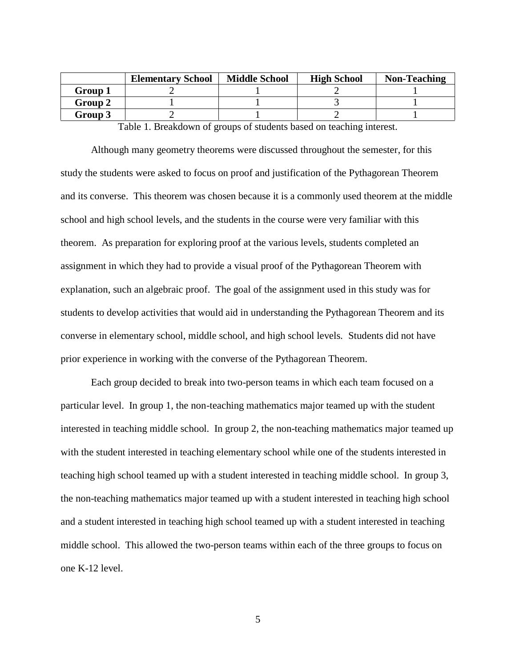|         | <b>Elementary School</b> | <b>Middle School</b> | <b>High School</b> | <b>Non-Teaching</b> |
|---------|--------------------------|----------------------|--------------------|---------------------|
| Group 1 |                          |                      |                    |                     |
| Group 2 |                          |                      |                    |                     |
| Group 3 |                          |                      |                    |                     |

Table 1. Breakdown of groups of students based on teaching interest.

Although many geometry theorems were discussed throughout the semester, for this study the students were asked to focus on proof and justification of the Pythagorean Theorem and its converse. This theorem was chosen because it is a commonly used theorem at the middle school and high school levels, and the students in the course were very familiar with this theorem. As preparation for exploring proof at the various levels, students completed an assignment in which they had to provide a visual proof of the Pythagorean Theorem with explanation, such an algebraic proof. The goal of the assignment used in this study was for students to develop activities that would aid in understanding the Pythagorean Theorem and its converse in elementary school, middle school, and high school levels. Students did not have prior experience in working with the converse of the Pythagorean Theorem.

Each group decided to break into two-person teams in which each team focused on a particular level. In group 1, the non-teaching mathematics major teamed up with the student interested in teaching middle school. In group 2, the non-teaching mathematics major teamed up with the student interested in teaching elementary school while one of the students interested in teaching high school teamed up with a student interested in teaching middle school. In group 3, the non-teaching mathematics major teamed up with a student interested in teaching high school and a student interested in teaching high school teamed up with a student interested in teaching middle school. This allowed the two-person teams within each of the three groups to focus on one K-12 level.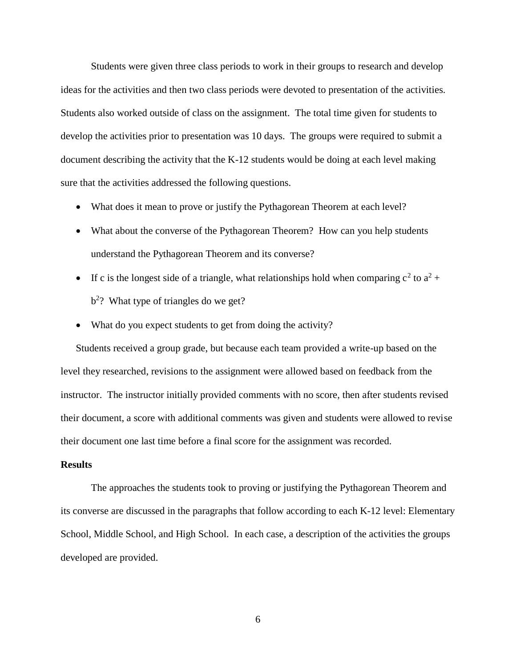Students were given three class periods to work in their groups to research and develop ideas for the activities and then two class periods were devoted to presentation of the activities. Students also worked outside of class on the assignment. The total time given for students to develop the activities prior to presentation was 10 days. The groups were required to submit a document describing the activity that the K-12 students would be doing at each level making sure that the activities addressed the following questions.

- What does it mean to prove or justify the Pythagorean Theorem at each level?
- What about the converse of the Pythagorean Theorem? How can you help students understand the Pythagorean Theorem and its converse?
- If c is the longest side of a triangle, what relationships hold when comparing  $c^2$  to  $a^2$  +  $b<sup>2</sup>$ ? What type of triangles do we get?
- What do you expect students to get from doing the activity?

Students received a group grade, but because each team provided a write-up based on the level they researched, revisions to the assignment were allowed based on feedback from the instructor. The instructor initially provided comments with no score, then after students revised their document, a score with additional comments was given and students were allowed to revise their document one last time before a final score for the assignment was recorded.

# **Results**

The approaches the students took to proving or justifying the Pythagorean Theorem and its converse are discussed in the paragraphs that follow according to each K-12 level: Elementary School, Middle School, and High School. In each case, a description of the activities the groups developed are provided.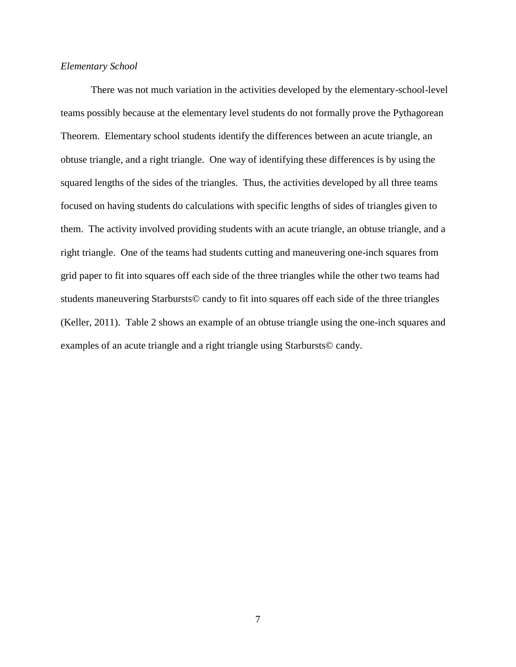# *Elementary School*

There was not much variation in the activities developed by the elementary-school-level teams possibly because at the elementary level students do not formally prove the Pythagorean Theorem. Elementary school students identify the differences between an acute triangle, an obtuse triangle, and a right triangle. One way of identifying these differences is by using the squared lengths of the sides of the triangles. Thus, the activities developed by all three teams focused on having students do calculations with specific lengths of sides of triangles given to them. The activity involved providing students with an acute triangle, an obtuse triangle, and a right triangle. One of the teams had students cutting and maneuvering one-inch squares from grid paper to fit into squares off each side of the three triangles while the other two teams had students maneuvering Starbursts© candy to fit into squares off each side of the three triangles (Keller, 2011). Table 2 shows an example of an obtuse triangle using the one-inch squares and examples of an acute triangle and a right triangle using Starbursts© candy.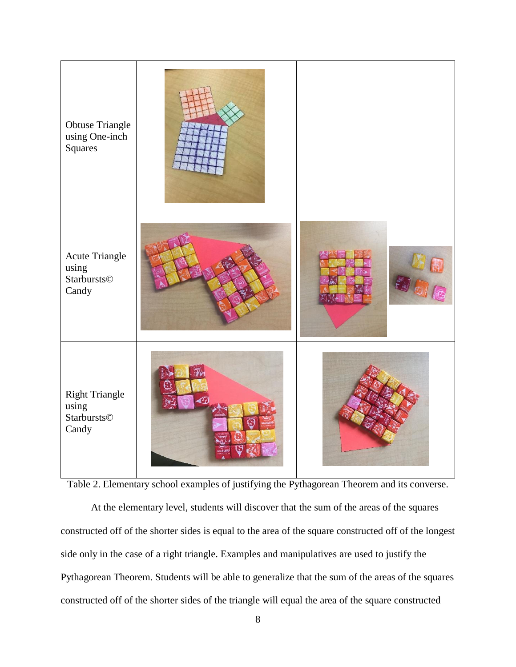

Table 2. Elementary school examples of justifying the Pythagorean Theorem and its converse.

At the elementary level, students will discover that the sum of the areas of the squares constructed off of the shorter sides is equal to the area of the square constructed off of the longest side only in the case of a right triangle. Examples and manipulatives are used to justify the Pythagorean Theorem. Students will be able to generalize that the sum of the areas of the squares constructed off of the shorter sides of the triangle will equal the area of the square constructed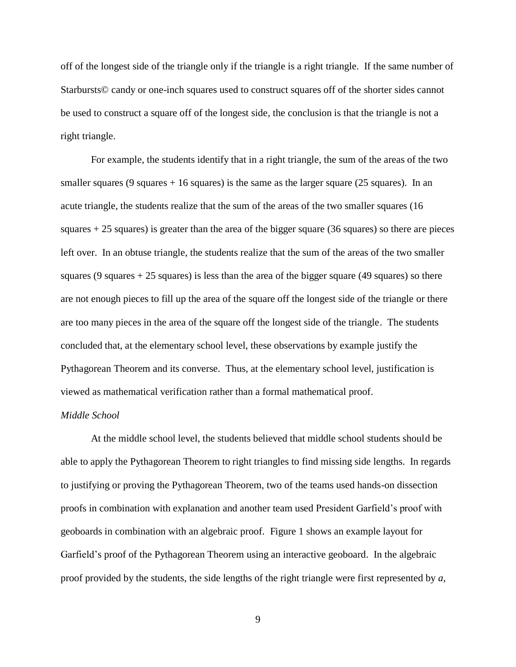off of the longest side of the triangle only if the triangle is a right triangle. If the same number of Starbursts© candy or one-inch squares used to construct squares off of the shorter sides cannot be used to construct a square off of the longest side, the conclusion is that the triangle is not a right triangle.

For example, the students identify that in a right triangle, the sum of the areas of the two smaller squares  $(9 \text{ squares} + 16 \text{ squares})$  is the same as the larger square (25 squares). In an acute triangle, the students realize that the sum of the areas of the two smaller squares (16 squares + 25 squares) is greater than the area of the bigger square (36 squares) so there are pieces left over. In an obtuse triangle, the students realize that the sum of the areas of the two smaller squares  $(9 \text{ squares} + 25 \text{ squares})$  is less than the area of the bigger square  $(49 \text{ squares})$  so there are not enough pieces to fill up the area of the square off the longest side of the triangle or there are too many pieces in the area of the square off the longest side of the triangle. The students concluded that, at the elementary school level, these observations by example justify the Pythagorean Theorem and its converse. Thus, at the elementary school level, justification is viewed as mathematical verification rather than a formal mathematical proof.

# *Middle School*

At the middle school level, the students believed that middle school students should be able to apply the Pythagorean Theorem to right triangles to find missing side lengths. In regards to justifying or proving the Pythagorean Theorem, two of the teams used hands-on dissection proofs in combination with explanation and another team used President Garfield's proof with geoboards in combination with an algebraic proof. Figure 1 shows an example layout for Garfield's proof of the Pythagorean Theorem using an interactive geoboard. In the algebraic proof provided by the students, the side lengths of the right triangle were first represented by *a*,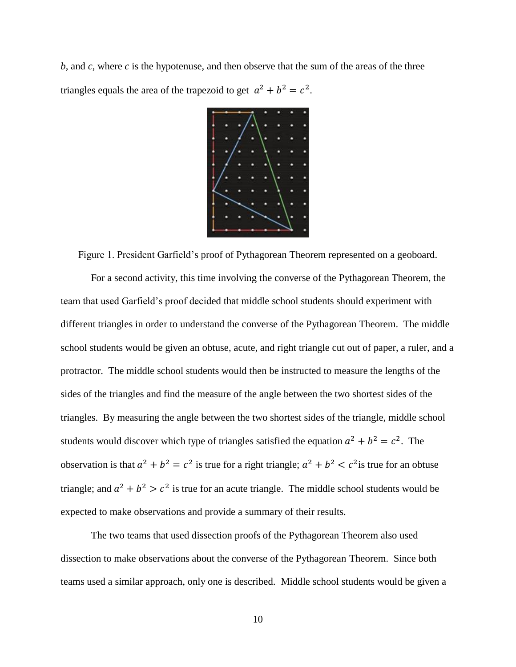*b*, and *c*, where *c* is the hypotenuse, and then observe that the sum of the areas of the three triangles equals the area of the trapezoid to get  $a^2 + b^2 = c^2$ .



Figure 1. President Garfield's proof of Pythagorean Theorem represented on a geoboard.

For a second activity, this time involving the converse of the Pythagorean Theorem, the team that used Garfield's proof decided that middle school students should experiment with different triangles in order to understand the converse of the Pythagorean Theorem. The middle school students would be given an obtuse, acute, and right triangle cut out of paper, a ruler, and a protractor. The middle school students would then be instructed to measure the lengths of the sides of the triangles and find the measure of the angle between the two shortest sides of the triangles. By measuring the angle between the two shortest sides of the triangle, middle school students would discover which type of triangles satisfied the equation  $a^2 + b^2 = c^2$ . The observation is that  $a^2 + b^2 = c^2$  is true for a right triangle;  $a^2 + b^2 < c^2$  is true for an obtuse triangle; and  $a^2 + b^2 > c^2$  is true for an acute triangle. The middle school students would be expected to make observations and provide a summary of their results.

The two teams that used dissection proofs of the Pythagorean Theorem also used dissection to make observations about the converse of the Pythagorean Theorem. Since both teams used a similar approach, only one is described. Middle school students would be given a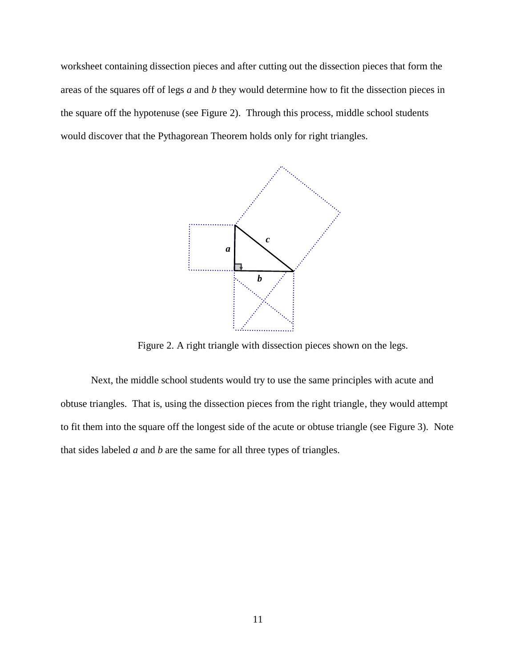worksheet containing dissection pieces and after cutting out the dissection pieces that form the areas of the squares off of legs *a* and *b* they would determine how to fit the dissection pieces in the square off the hypotenuse (see Figure 2). Through this process, middle school students would discover that the Pythagorean Theorem holds only for right triangles.



Figure 2. A right triangle with dissection pieces shown on the legs.

Next, the middle school students would try to use the same principles with acute and obtuse triangles. That is, using the dissection pieces from the right triangle, they would attempt to fit them into the square off the longest side of the acute or obtuse triangle (see Figure 3). Note that sides labeled *a* and *b* are the same for all three types of triangles.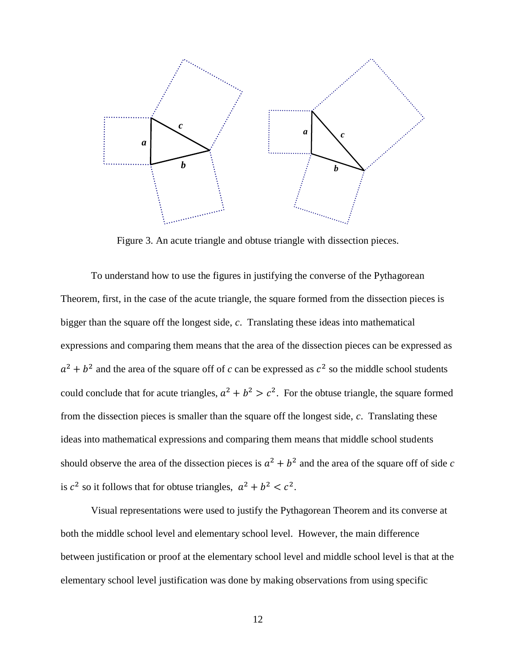

Figure 3. An acute triangle and obtuse triangle with dissection pieces.

To understand how to use the figures in justifying the converse of the Pythagorean Theorem, first, in the case of the acute triangle, the square formed from the dissection pieces is bigger than the square off the longest side, *c*. Translating these ideas into mathematical expressions and comparing them means that the area of the dissection pieces can be expressed as  $a^2 + b^2$  and the area of the square off of *c* can be expressed as  $c^2$  so the middle school students could conclude that for acute triangles,  $a^2 + b^2 > c^2$ . For the obtuse triangle, the square formed from the dissection pieces is smaller than the square off the longest side, *c*. Translating these ideas into mathematical expressions and comparing them means that middle school students should observe the area of the dissection pieces is  $a^2 + b^2$  and the area of the square off of side c is  $c^2$  so it follows that for obtuse triangles,  $a^2 + b^2 < c^2$ .

Visual representations were used to justify the Pythagorean Theorem and its converse at both the middle school level and elementary school level. However, the main difference between justification or proof at the elementary school level and middle school level is that at the elementary school level justification was done by making observations from using specific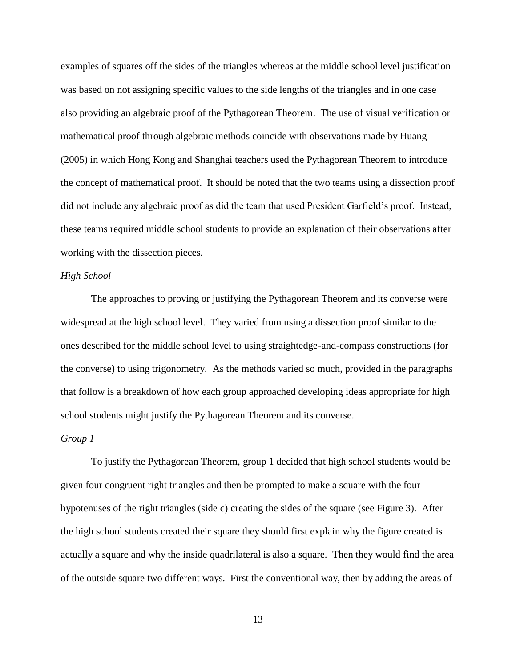examples of squares off the sides of the triangles whereas at the middle school level justification was based on not assigning specific values to the side lengths of the triangles and in one case also providing an algebraic proof of the Pythagorean Theorem. The use of visual verification or mathematical proof through algebraic methods coincide with observations made by Huang (2005) in which Hong Kong and Shanghai teachers used the Pythagorean Theorem to introduce the concept of mathematical proof. It should be noted that the two teams using a dissection proof did not include any algebraic proof as did the team that used President Garfield's proof. Instead, these teams required middle school students to provide an explanation of their observations after working with the dissection pieces.

# *High School*

The approaches to proving or justifying the Pythagorean Theorem and its converse were widespread at the high school level. They varied from using a dissection proof similar to the ones described for the middle school level to using straightedge-and-compass constructions (for the converse) to using trigonometry. As the methods varied so much, provided in the paragraphs that follow is a breakdown of how each group approached developing ideas appropriate for high school students might justify the Pythagorean Theorem and its converse.

#### *Group 1*

To justify the Pythagorean Theorem, group 1 decided that high school students would be given four congruent right triangles and then be prompted to make a square with the four hypotenuses of the right triangles (side c) creating the sides of the square (see Figure 3). After the high school students created their square they should first explain why the figure created is actually a square and why the inside quadrilateral is also a square. Then they would find the area of the outside square two different ways. First the conventional way, then by adding the areas of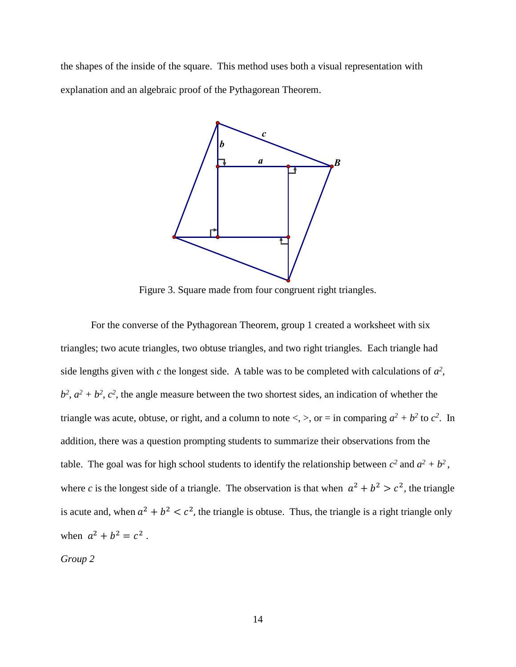the shapes of the inside of the square. This method uses both a visual representation with explanation and an algebraic proof of the Pythagorean Theorem.



Figure 3. Square made from four congruent right triangles.

For the converse of the Pythagorean Theorem, group 1 created a worksheet with six triangles; two acute triangles, two obtuse triangles, and two right triangles. Each triangle had side lengths given with  $c$  the longest side. A table was to be completed with calculations of  $a^2$ ,  $b^2$ ,  $a^2 + b^2$ ,  $c^2$ , the angle measure between the two shortest sides, an indication of whether the triangle was acute, obtuse, or right, and a column to note  $\lt$ ,  $\gt$ , or = in comparing  $a^2 + b^2$  to  $c^2$ . In addition, there was a question prompting students to summarize their observations from the table. The goal was for high school students to identify the relationship between  $c^2$  and  $a^2 + b^2$ , where c is the longest side of a triangle. The observation is that when  $a^2 + b^2 > c^2$ , the triangle is acute and, when  $a^2 + b^2 < c^2$ , the triangle is obtuse. Thus, the triangle is a right triangle only when  $a^2 + b^2 = c^2$ .

*Group 2*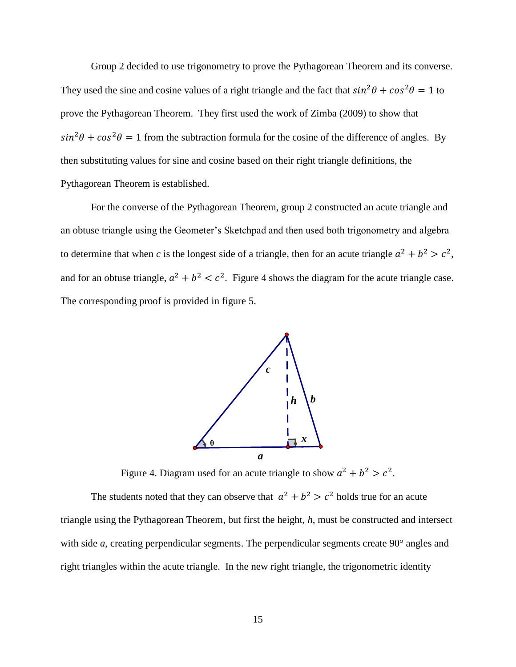Group 2 decided to use trigonometry to prove the Pythagorean Theorem and its converse. They used the sine and cosine values of a right triangle and the fact that  $sin^2\theta + cos^2\theta = 1$  to prove the Pythagorean Theorem. They first used the work of Zimba (2009) to show that  $\sin^2 \theta + \cos^2 \theta = 1$  from the subtraction formula for the cosine of the difference of angles. By then substituting values for sine and cosine based on their right triangle definitions, the Pythagorean Theorem is established.

For the converse of the Pythagorean Theorem, group 2 constructed an acute triangle and an obtuse triangle using the Geometer's Sketchpad and then used both trigonometry and algebra to determine that when *c* is the longest side of a triangle, then for an acute triangle  $a^2 + b^2 > c^2$ , and for an obtuse triangle,  $a^2 + b^2 < c^2$ . Figure 4 shows the diagram for the acute triangle case. The corresponding proof is provided in figure 5.



Figure 4. Diagram used for an acute triangle to show  $a^2 + b^2 > c^2$ .

The students noted that they can observe that  $a^2 + b^2 > c^2$  holds true for an acute triangle using the Pythagorean Theorem, but first the height, *h*, must be constructed and intersect with side *a*, creating perpendicular segments. The perpendicular segments create 90<sup>°</sup> angles and right triangles within the acute triangle. In the new right triangle, the trigonometric identity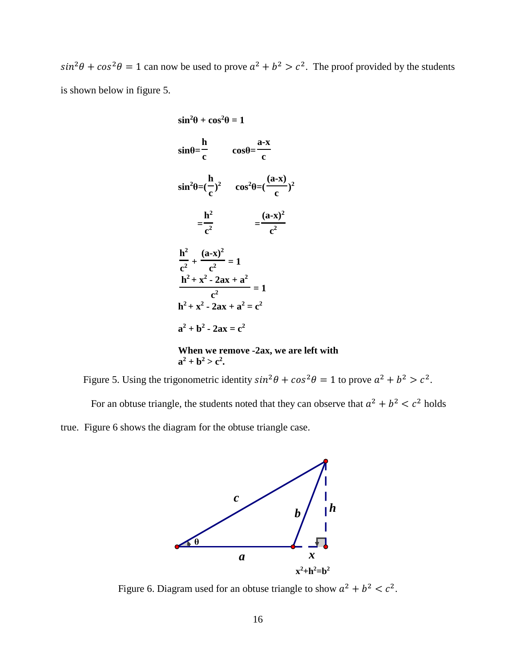$sin^2\theta + cos^2\theta = 1$  can now be used to prove  $a^2 + b^2 > c^2$ . The proof provided by the students is shown below in figure 5.

$$
\sin^2 \theta + \cos^2 \theta = 1
$$
\n
$$
\sin \theta = \frac{h}{c} \qquad \cos \theta = \frac{a-x}{c}
$$
\n
$$
\sin^2 \theta = \left(\frac{h}{c}\right)^2 \qquad \cos^2 \theta = \left(\frac{a-x}{c}\right)^2
$$
\n
$$
= \frac{h^2}{c^2} \qquad \frac{(a-x)^2}{c^2}
$$
\n
$$
\frac{h^2}{c^2} + \frac{(a-x)^2}{c^2} = 1
$$
\n
$$
h^2 + x^2 - 2ax + a^2 = c^2
$$
\n
$$
a^2 + b^2 - 2ax = c^2
$$
\nWhen we remove -2ax, we are left with

# Figure 5. Using the trigonometric identity  $sin^2\theta + cos^2\theta = 1$  to prove  $a^2 + b^2 > c^2$ .  $a^2 + b^2 > c^2$ .

For an obtuse triangle, the students noted that they can observe that  $a^2 + b^2 < c^2$  holds

true. Figure 6 shows the diagram for the obtuse triangle case.



Figure 6. Diagram used for an obtuse triangle to show  $a^2 + b^2 < c^2$ .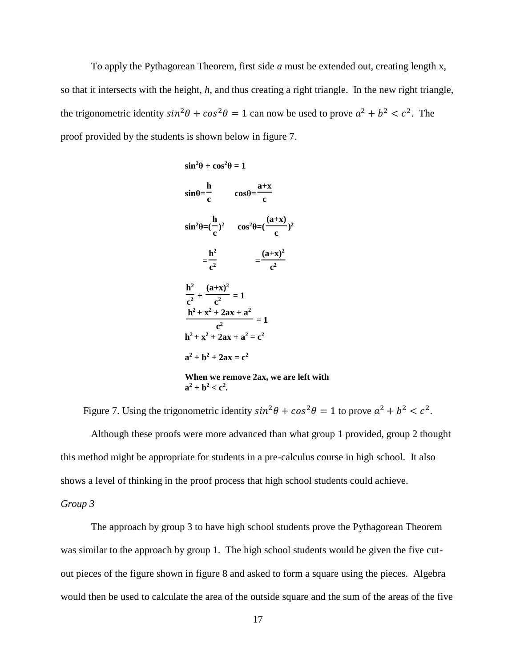To apply the Pythagorean Theorem, first side *a* must be extended out, creating length x, so that it intersects with the height, *h*, and thus creating a right triangle. In the new right triangle, the trigonometric identity  $sin^2\theta + cos^2\theta = 1$  can now be used to prove  $a^2 + b^2 < c^2$ . The proof provided by the students is shown below in figure 7.

 $\sin^2\theta + \cos^2\theta = 1$ 

$$
\sin \theta = \frac{h}{c} \qquad \cos \theta = \frac{a+x}{c}
$$
  
\n
$$
\sin^2 \theta = (\frac{h}{c})^2 \qquad \cos^2 \theta = (\frac{(a+x)}{c})^2
$$
  
\n
$$
= \frac{h^2}{c^2} \qquad = \frac{(a+x)^2}{c^2}
$$
  
\n
$$
\frac{h^2}{c^2} + \frac{(a+x)^2}{c^2} = 1
$$
  
\n
$$
\frac{h^2 + x^2 + 2ax + a^2}{c^2} = 1
$$
  
\n
$$
h^2 + x^2 + 2ax + a^2 = c^2
$$
  
\n
$$
a^2 + b^2 + 2ax = c^2
$$
  
\nWhen we remove 2ax, we are left with  
\n
$$
a^2 + b^2 < c^2.
$$

Figure 7. Using the trigonometric identity  $sin^2\theta + cos^2\theta = 1$  to prove  $a^2 + b^2 < c^2$ .

Although these proofs were more advanced than what group 1 provided, group 2 thought this method might be appropriate for students in a pre-calculus course in high school. It also shows a level of thinking in the proof process that high school students could achieve.

*Group 3*

The approach by group 3 to have high school students prove the Pythagorean Theorem was similar to the approach by group 1. The high school students would be given the five cutout pieces of the figure shown in figure 8 and asked to form a square using the pieces. Algebra would then be used to calculate the area of the outside square and the sum of the areas of the five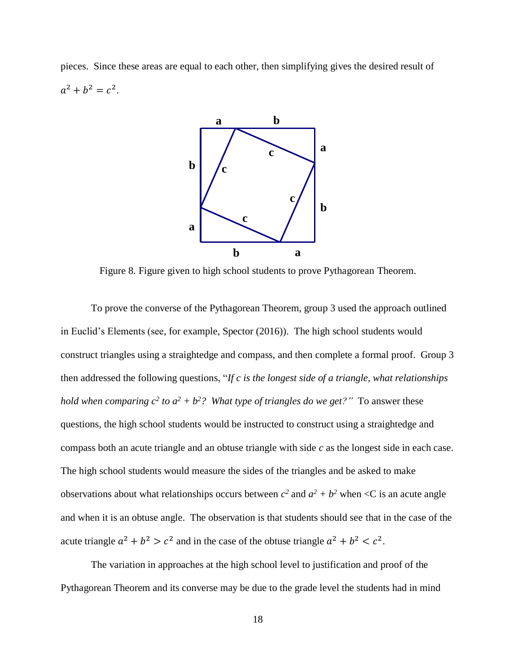pieces. Since these areas are equal to each other, then simplifying gives the desired result of  $a^2 + b^2 = c^2$ .



Figure 8. Figure given to high school students to prove Pythagorean Theorem.

To prove the converse of the Pythagorean Theorem, group 3 used the approach outlined in Euclid's Elements (see, for example, Spector (2016)). The high school students would construct triangles using a straightedge and compass, and then complete a formal proof. Group 3 then addressed the following questions, "*If c is the longest side of a triangle, what relationships hold when comparing*  $c^2$  *to*  $a^2 + b^2$ *? What type of triangles do we get?"* To answer these questions, the high school students would be instructed to construct using a straightedge and compass both an acute triangle and an obtuse triangle with side *c* as the longest side in each case. The high school students would measure the sides of the triangles and be asked to make observations about what relationships occurs between  $c^2$  and  $a^2 + b^2$  when  $\lt C$  is an acute angle and when it is an obtuse angle. The observation is that students should see that in the case of the acute triangle  $a^2 + b^2 > c^2$  and in the case of the obtuse triangle  $a^2 + b^2 < c^2$ .

The variation in approaches at the high school level to justification and proof of the Pythagorean Theorem and its converse may be due to the grade level the students had in mind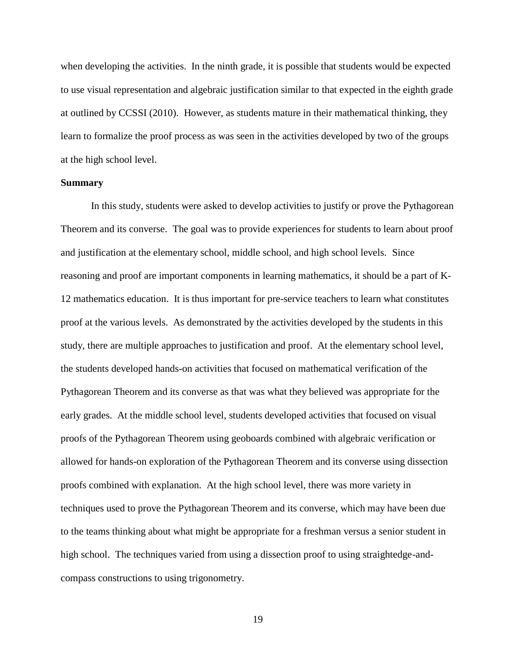when developing the activities. In the ninth grade, it is possible that students would be expected to use visual representation and algebraic justification similar to that expected in the eighth grade at outlined by CCSSI (2010). However, as students mature in their mathematical thinking, they learn to formalize the proof process as was seen in the activities developed by two of the groups at the high school level.

#### **Summary**

In this study, students were asked to develop activities to justify or prove the Pythagorean Theorem and its converse. The goal was to provide experiences for students to learn about proof and justification at the elementary school, middle school, and high school levels. Since reasoning and proof are important components in learning mathematics, it should be a part of K-12 mathematics education. It is thus important for pre-service teachers to learn what constitutes proof at the various levels. As demonstrated by the activities developed by the students in this study, there are multiple approaches to justification and proof. At the elementary school level, the students developed hands-on activities that focused on mathematical verification of the Pythagorean Theorem and its converse as that was what they believed was appropriate for the early grades. At the middle school level, students developed activities that focused on visual proofs of the Pythagorean Theorem using geoboards combined with algebraic verification or allowed for hands-on exploration of the Pythagorean Theorem and its converse using dissection proofs combined with explanation. At the high school level, there was more variety in techniques used to prove the Pythagorean Theorem and its converse, which may have been due to the teams thinking about what might be appropriate for a freshman versus a senior student in high school. The techniques varied from using a dissection proof to using straightedge-andcompass constructions to using trigonometry.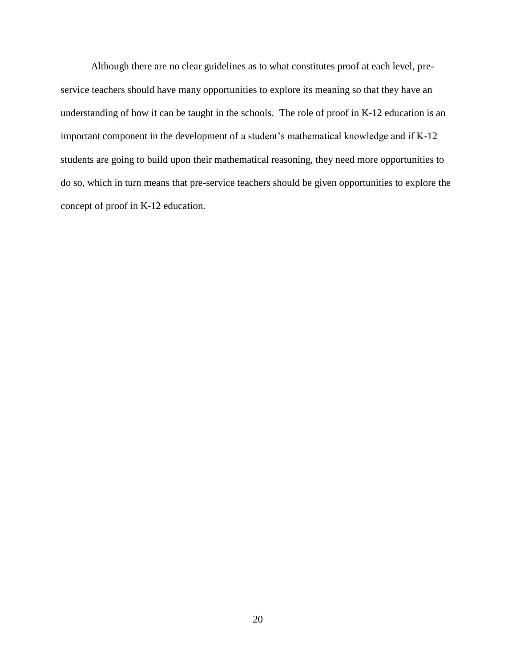Although there are no clear guidelines as to what constitutes proof at each level, preservice teachers should have many opportunities to explore its meaning so that they have an understanding of how it can be taught in the schools. The role of proof in K-12 education is an important component in the development of a student's mathematical knowledge and if K-12 students are going to build upon their mathematical reasoning, they need more opportunities to do so, which in turn means that pre-service teachers should be given opportunities to explore the concept of proof in K-12 education.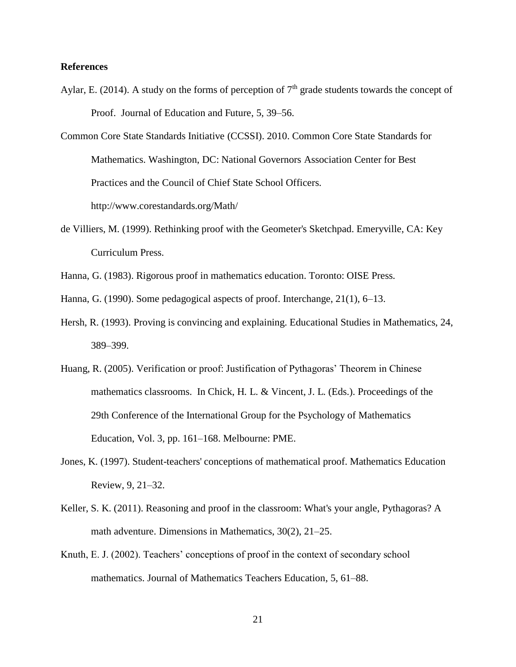## **References**

- Aylar, E. (2014). A study on the forms of perception of  $7<sup>th</sup>$  grade students towards the concept of Proof. Journal of Education and Future, 5, 39–56.
- Common Core State Standards Initiative (CCSSI). 2010. Common Core State Standards for Mathematics. Washington, DC: National Governors Association Center for Best Practices and the Council of Chief State School Officers. http://www.corestandards.org/Math/
- de Villiers, M. (1999). Rethinking proof with the Geometer's Sketchpad. Emeryville, CA: Key Curriculum Press.
- Hanna, G. (1983). Rigorous proof in mathematics education. Toronto: OISE Press.
- Hanna, G. (1990). Some pedagogical aspects of proof. Interchange, 21(1), 6–13.
- Hersh, R. (1993). Proving is convincing and explaining. Educational Studies in Mathematics, 24, 389–399.
- Huang, R. (2005). Verification or proof: Justification of Pythagoras' Theorem in Chinese mathematics classrooms. In Chick, H. L. & Vincent, J. L. (Eds.). Proceedings of the 29th Conference of the International Group for the Psychology of Mathematics Education, Vol. 3, pp. 161–168. Melbourne: PME.
- Jones, K. (1997). Student-teachers' conceptions of mathematical proof. Mathematics Education Review, 9, 21–32.
- Keller, S. K. (2011). Reasoning and proof in the classroom: What's your angle, Pythagoras? A math adventure. Dimensions in Mathematics, 30(2), 21–25.
- Knuth, E. J. (2002). Teachers' conceptions of proof in the context of secondary school mathematics. Journal of Mathematics Teachers Education, 5, 61–88.